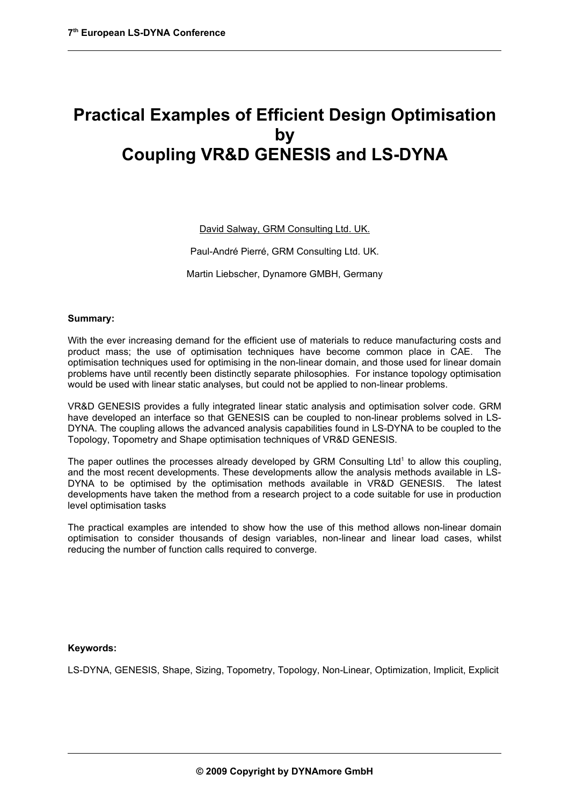# **Practical Examples of Efficient Design Optimisation by Coupling VR&D GENESIS and LS-DYNA**

David Salway, GRM Consulting Ltd. UK.

Paul-André Pierré, GRM Consulting Ltd. UK.

Martin Liebscher, Dynamore GMBH, Germany

### **Summary:**

With the ever increasing demand for the efficient use of materials to reduce manufacturing costs and product mass; the use of optimisation techniques have become common place in CAE. The optimisation techniques used for optimising in the non-linear domain, and those used for linear domain problems have until recently been distinctly separate philosophies. For instance topology optimisation would be used with linear static analyses, but could not be applied to non-linear problems.

VR&D GENESIS provides a fully integrated linear static analysis and optimisation solver code. GRM have developed an interface so that GENESIS can be coupled to non-linear problems solved in LS-DYNA. The coupling allows the advanced analysis capabilities found in LS-DYNA to be coupled to the Topology, Topometry and Shape optimisation techniques of VR&D GENESIS.

The paper outlines the processes already developed by GRM Consulting Ltd<sup>1</sup> to allow this coupling, and the most recent developments. These developments allow the analysis methods available in LS-DYNA to be optimised by the optimisation methods available in VR&D GENESIS. The latest developments have taken the method from a research project to a code suitable for use in production level optimisation tasks

The practical examples are intended to show how the use of this method allows non-linear domain optimisation to consider thousands of design variables, non-linear and linear load cases, whilst reducing the number of function calls required to converge.

#### **Keywords:**

LS-DYNA, GENESIS, Shape, Sizing, Topometry, Topology, Non-Linear, Optimization, Implicit, Explicit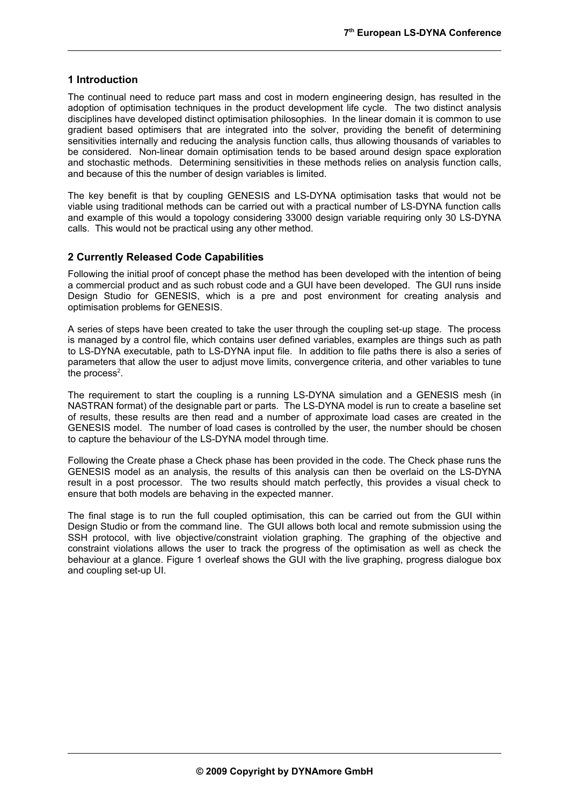## **1 Introduction**

The continual need to reduce part mass and cost in modern engineering design, has resulted in the adoption of optimisation techniques in the product development life cycle. The two distinct analysis disciplines have developed distinct optimisation philosophies. In the linear domain it is common to use gradient based optimisers that are integrated into the solver, providing the benefit of determining sensitivities internally and reducing the analysis function calls, thus allowing thousands of variables to be considered. Non-linear domain optimisation tends to be based around design space exploration and stochastic methods. Determining sensitivities in these methods relies on analysis function calls, and because of this the number of design variables is limited.

The key benefit is that by coupling GENESIS and LS-DYNA optimisation tasks that would not be viable using traditional methods can be carried out with a practical number of LS-DYNA function calls and example of this would a topology considering 33000 design variable requiring only 30 LS-DYNA calls. This would not be practical using any other method.

## **2 Currently Released Code Capabilities**

Following the initial proof of concept phase the method has been developed with the intention of being a commercial product and as such robust code and a GUI have been developed. The GUI runs inside Design Studio for GENESIS, which is a pre and post environment for creating analysis and optimisation problems for GENESIS.

A series of steps have been created to take the user through the coupling set-up stage. The process is managed by a control file, which contains user defined variables, examples are things such as path to LS-DYNA executable, path to LS-DYNA input file. In addition to file paths there is also a series of parameters that allow the user to adjust move limits, convergence criteria, and other variables to tune the process<sup>2</sup>.

The requirement to start the coupling is a running LS-DYNA simulation and a GENESIS mesh (in NASTRAN format) of the designable part or parts. The LS-DYNA model is run to create a baseline set of results, these results are then read and a number of approximate load cases are created in the GENESIS model. The number of load cases is controlled by the user, the number should be chosen to capture the behaviour of the LS-DYNA model through time.

Following the Create phase a Check phase has been provided in the code. The Check phase runs the GENESIS model as an analysis, the results of this analysis can then be overlaid on the LS-DYNA result in a post processor. The two results should match perfectly, this provides a visual check to ensure that both models are behaving in the expected manner.

The final stage is to run the full coupled optimisation, this can be carried out from the GUI within Design Studio or from the command line. The GUI allows both local and remote submission using the SSH protocol, with live objective/constraint violation graphing. The graphing of the objective and constraint violations allows the user to track the progress of the optimisation as well as check the behaviour at a glance. Figure 1 overleaf shows the GUI with the live graphing, progress dialogue box and coupling set-up UI.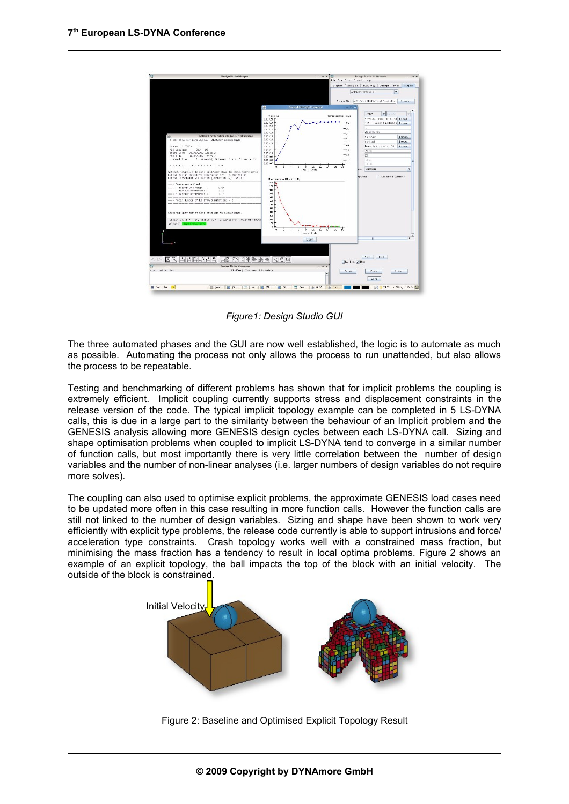

*Figure1: Design Studio GUI*

The three automated phases and the GUI are now well established, the logic is to automate as much as possible. Automating the process not only allows the process to run unattended, but also allows the process to be repeatable.

Testing and benchmarking of different problems has shown that for implicit problems the coupling is extremely efficient. Implicit coupling currently supports stress and displacement constraints in the release version of the code. The typical implicit topology example can be completed in 5 LS-DYNA calls, this is due in a large part to the similarity between the behaviour of an Implicit problem and the GENESIS analysis allowing more GENESIS design cycles between each LS-DYNA call. Sizing and shape optimisation problems when coupled to implicit LS-DYNA tend to converge in a similar number of function calls, but most importantly there is very little correlation between the number of design variables and the number of non-linear analyses (i.e. larger numbers of design variables do not require more solves).

The coupling can also used to optimise explicit problems, the approximate GENESIS load cases need to be updated more often in this case resulting in more function calls. However the function calls are still not linked to the number of design variables. Sizing and shape have been shown to work very efficiently with explicit type problems, the release code currently is able to support intrusions and force/ acceleration type constraints. Crash topology works well with a constrained mass fraction, but minimising the mass fraction has a tendency to result in local optima problems. Figure 2 shows an example of an explicit topology, the ball impacts the top of the block with an initial velocity. The outside of the block is constrained.



Figure 2: Baseline and Optimised Explicit Topology Result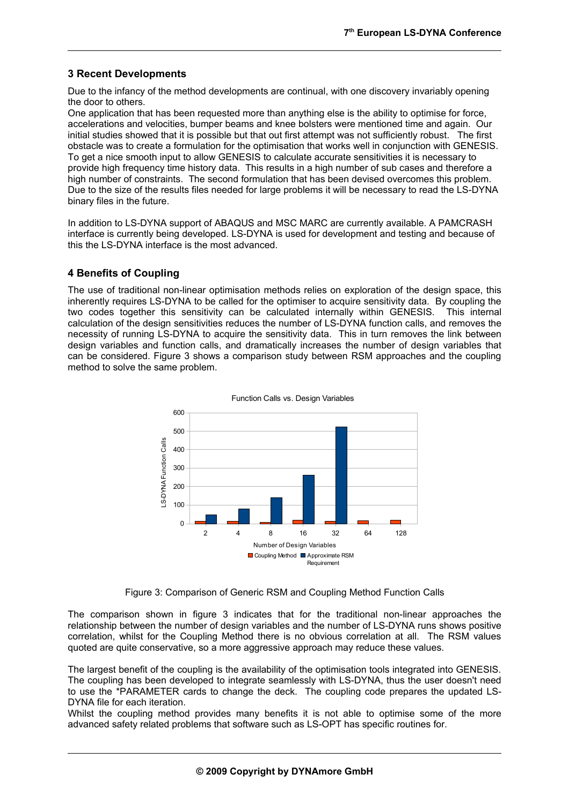# **3 Recent Developments**

Due to the infancy of the method developments are continual, with one discovery invariably opening the door to others.

One application that has been requested more than anything else is the ability to optimise for force, accelerations and velocities, bumper beams and knee bolsters were mentioned time and again. Our initial studies showed that it is possible but that out first attempt was not sufficiently robust. The first obstacle was to create a formulation for the optimisation that works well in conjunction with GENESIS. To get a nice smooth input to allow GENESIS to calculate accurate sensitivities it is necessary to provide high frequency time history data. This results in a high number of sub cases and therefore a high number of constraints. The second formulation that has been devised overcomes this problem. Due to the size of the results files needed for large problems it will be necessary to read the LS-DYNA binary files in the future.

In addition to LS-DYNA support of ABAQUS and MSC MARC are currently available. A PAMCRASH interface is currently being developed. LS-DYNA is used for development and testing and because of this the LS-DYNA interface is the most advanced.

## **4 Benefits of Coupling**

The use of traditional non-linear optimisation methods relies on exploration of the design space, this inherently requires LS-DYNA to be called for the optimiser to acquire sensitivity data. By coupling the two codes together this sensitivity can be calculated internally within GENESIS. This internal calculation of the design sensitivities reduces the number of LS-DYNA function calls, and removes the necessity of running LS-DYNA to acquire the sensitivity data. This in turn removes the link between design variables and function calls, and dramatically increases the number of design variables that can be considered. Figure 3 shows a comparison study between RSM approaches and the coupling method to solve the same problem.





Figure 3: Comparison of Generic RSM and Coupling Method Function Calls

The comparison shown in figure 3 indicates that for the traditional non-linear approaches the relationship between the number of design variables and the number of LS-DYNA runs shows positive correlation, whilst for the Coupling Method there is no obvious correlation at all. The RSM values quoted are quite conservative, so a more aggressive approach may reduce these values.

The largest benefit of the coupling is the availability of the optimisation tools integrated into GENESIS. The coupling has been developed to integrate seamlessly with LS-DYNA, thus the user doesn't need to use the \*PARAMETER cards to change the deck. The coupling code prepares the updated LS-DYNA file for each iteration.

Whilst the coupling method provides many benefits it is not able to optimise some of the more advanced safety related problems that software such as LS-OPT has specific routines for.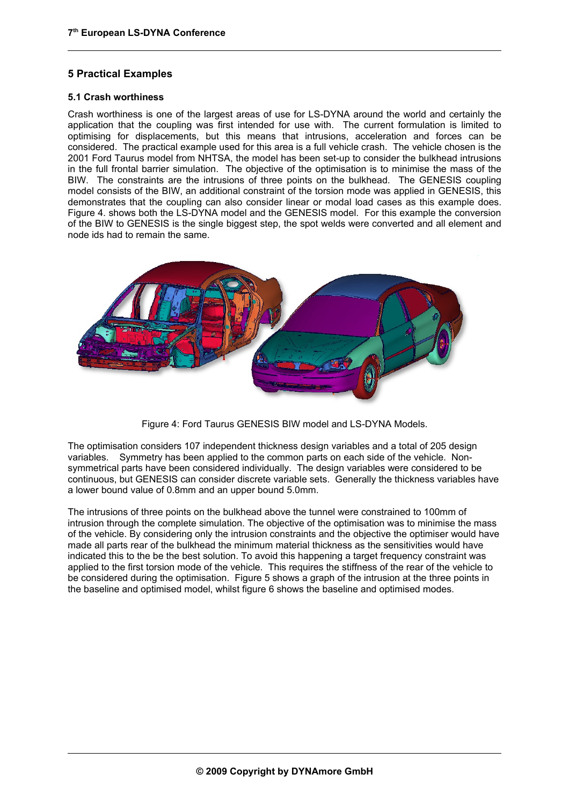# **5 Practical Examples**

### **5.1 Crash worthiness**

Crash worthiness is one of the largest areas of use for LS-DYNA around the world and certainly the application that the coupling was first intended for use with. The current formulation is limited to optimising for displacements, but this means that intrusions, acceleration and forces can be considered. The practical example used for this area is a full vehicle crash. The vehicle chosen is the 2001 Ford Taurus model from NHTSA, the model has been set-up to consider the bulkhead intrusions in the full frontal barrier simulation. The objective of the optimisation is to minimise the mass of the BIW. The constraints are the intrusions of three points on the bulkhead. The GENESIS coupling model consists of the BIW, an additional constraint of the torsion mode was applied in GENESIS, this demonstrates that the coupling can also consider linear or modal load cases as this example does. Figure 4. shows both the LS-DYNA model and the GENESIS model. For this example the conversion of the BIW to GENESIS is the single biggest step, the spot welds were converted and all element and node ids had to remain the same.



Figure 4: Ford Taurus GENESIS BIW model and LS-DYNA Models.

The optimisation considers 107 independent thickness design variables and a total of 205 design variables. Symmetry has been applied to the common parts on each side of the vehicle. Nonsymmetrical parts have been considered individually. The design variables were considered to be continuous, but GENESIS can consider discrete variable sets. Generally the thickness variables have a lower bound value of 0.8mm and an upper bound 5.0mm.

The intrusions of three points on the bulkhead above the tunnel were constrained to 100mm of intrusion through the complete simulation. The objective of the optimisation was to minimise the mass of the vehicle. By considering only the intrusion constraints and the objective the optimiser would have made all parts rear of the bulkhead the minimum material thickness as the sensitivities would have indicated this to the be the best solution. To avoid this happening a target frequency constraint was applied to the first torsion mode of the vehicle. This requires the stiffness of the rear of the vehicle to be considered during the optimisation. Figure 5 shows a graph of the intrusion at the three points in the baseline and optimised model, whilst figure 6 shows the baseline and optimised modes.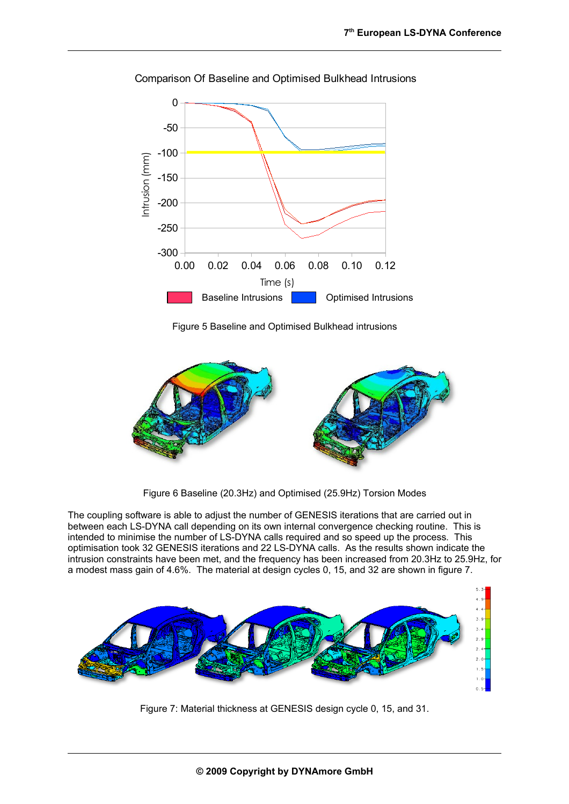

Comparison Of Baseline and Optimised Bulkhead Intrusions

Figure 5 Baseline and Optimised Bulkhead intrusions



Figure 6 Baseline (20.3Hz) and Optimised (25.9Hz) Torsion Modes

The coupling software is able to adjust the number of GENESIS iterations that are carried out in between each LS-DYNA call depending on its own internal convergence checking routine. This is intended to minimise the number of LS-DYNA calls required and so speed up the process. This optimisation took 32 GENESIS iterations and 22 LS-DYNA calls. As the results shown indicate the intrusion constraints have been met, and the frequency has been increased from 20.3Hz to 25.9Hz, for a modest mass gain of 4.6%. The material at design cycles 0, 15, and 32 are shown in figure 7.



Figure 7: Material thickness at GENESIS design cycle 0, 15, and 31.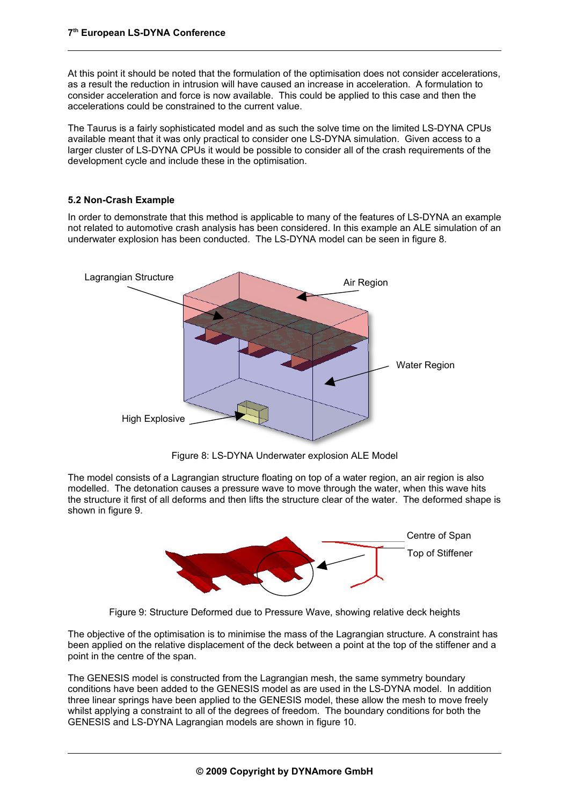At this point it should be noted that the formulation of the optimisation does not consider accelerations, as a result the reduction in intrusion will have caused an increase in acceleration. A formulation to consider acceleration and force is now available. This could be applied to this case and then the accelerations could be constrained to the current value.

The Taurus is a fairly sophisticated model and as such the solve time on the limited LS-DYNA CPUs available meant that it was only practical to consider one LS-DYNA simulation. Given access to a larger cluster of LS-DYNA CPUs it would be possible to consider all of the crash requirements of the development cycle and include these in the optimisation.

#### **5.2 Non-Crash Example**

In order to demonstrate that this method is applicable to many of the features of LS-DYNA an example not related to automotive crash analysis has been considered. In this example an ALE simulation of an underwater explosion has been conducted. The LS-DYNA model can be seen in figure 8.



Figure 8: LS-DYNA Underwater explosion ALE Model

The model consists of a Lagrangian structure floating on top of a water region, an air region is also modelled. The detonation causes a pressure wave to move through the water, when this wave hits the structure it first of all deforms and then lifts the structure clear of the water. The deformed shape is shown in figure 9.



Figure 9: Structure Deformed due to Pressure Wave, showing relative deck heights

The objective of the optimisation is to minimise the mass of the Lagrangian structure. A constraint has been applied on the relative displacement of the deck between a point at the top of the stiffener and a point in the centre of the span.

The GENESIS model is constructed from the Lagrangian mesh, the same symmetry boundary conditions have been added to the GENESIS model as are used in the LS-DYNA model. In addition three linear springs have been applied to the GENESIS model, these allow the mesh to move freely whilst applying a constraint to all of the degrees of freedom. The boundary conditions for both the GENESIS and LS-DYNA Lagrangian models are shown in figure 10.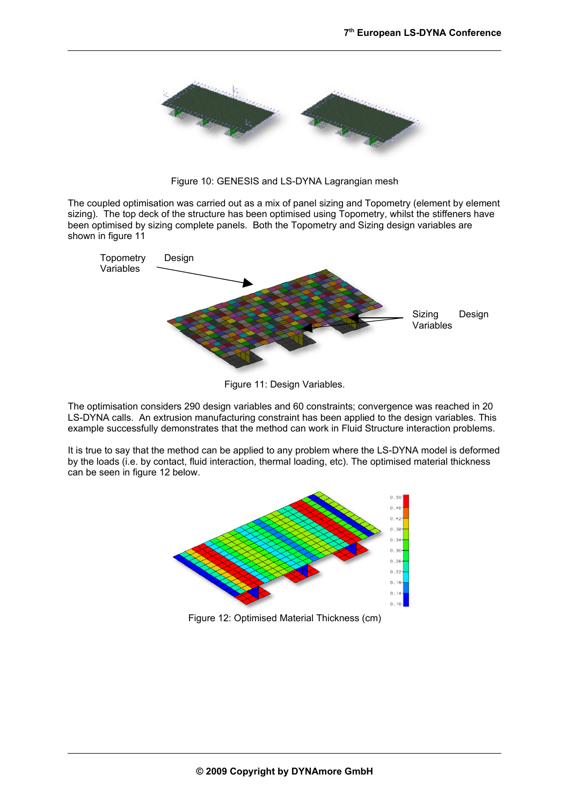

Figure 10: GENESIS and LS-DYNA Lagrangian mesh

The coupled optimisation was carried out as a mix of panel sizing and Topometry (element by element sizing). The top deck of the structure has been optimised using Topometry, whilst the stiffeners have been optimised by sizing complete panels. Both the Topometry and Sizing design variables are shown in figure 11



Figure 11: Design Variables.

The optimisation considers 290 design variables and 60 constraints; convergence was reached in 20 LS-DYNA calls. An extrusion manufacturing constraint has been applied to the design variables. This example successfully demonstrates that the method can work in Fluid Structure interaction problems.

It is true to say that the method can be applied to any problem where the LS-DYNA model is deformed by the loads (i.e. by contact, fluid interaction, thermal loading, etc). The optimised material thickness can be seen in figure 12 below.



Figure 12: Optimised Material Thickness (cm)